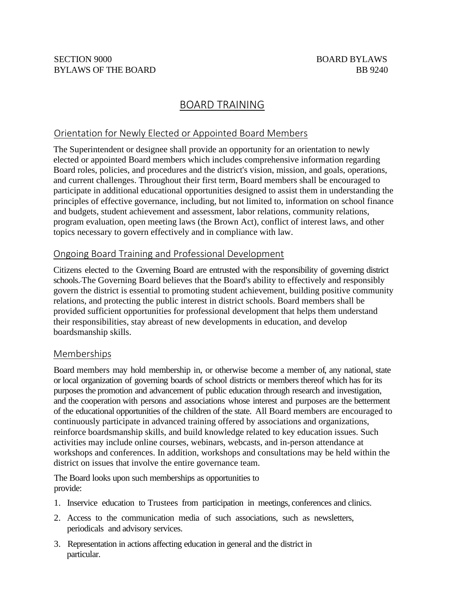# BOARD TRAINING

## Orientation for Newly Elected or Appointed Board Members

The Superintendent or designee shall provide an opportunity for an orientation to newly elected or appointed Board members which includes comprehensive information regarding Board roles, policies, and procedures and the district's vision, mission, and goals, operations, and current challenges. Throughout their first term, Board members shall be encouraged to participate in additional educational opportunities designed to assist them in understanding the principles of effective governance, including, but not limited to, information on school finance and budgets, student achievement and assessment, labor relations, community relations, program evaluation, open meeting laws (the Brown Act), conflict of interest laws, and other topics necessary to govern effectively and in compliance with law.

### Ongoing Board Training and Professional Development

Citizens elected to the Governing Board are entrusted with the responsibility of governing district schools. The Governing Board believes that the Board's ability to effectively and responsibly govern the district is essential to promoting student achievement, building positive community relations, and protecting the public interest in district schools. Board members shall be provided sufficient opportunities for professional development that helps them understand their responsibilities, stay abreast of new developments in education, and develop boardsmanship skills.

### Memberships

Board members may hold membership in, or otherwise become a member of, any national, state or local organization of governing boards of school districts or members thereof which has for its purposes the promotion and advancement of public education through research and investigation, and the cooperation with persons and associations whose interest and purposes are the betterment of the educational opportunities of the children of the state. All Board members are encouraged to continuously participate in advanced training offered by associations and organizations, reinforce boardsmanship skills, and build knowledge related to key education issues. Such activities may include online courses, webinars, webcasts, and in-person attendance at workshops and conferences. In addition, workshops and consultations may be held within the district on issues that involve the entire governance team.

The Board looks upon such memberships as opportunities to provide:

- 1. Inservice education to Trustees from participation in meetings, conferences and clinics.
- 2. Access to the communication media of such associations, such as newsletters, periodicals and advisory services.
- 3. Representation in actions affecting education in general and the district in particular.